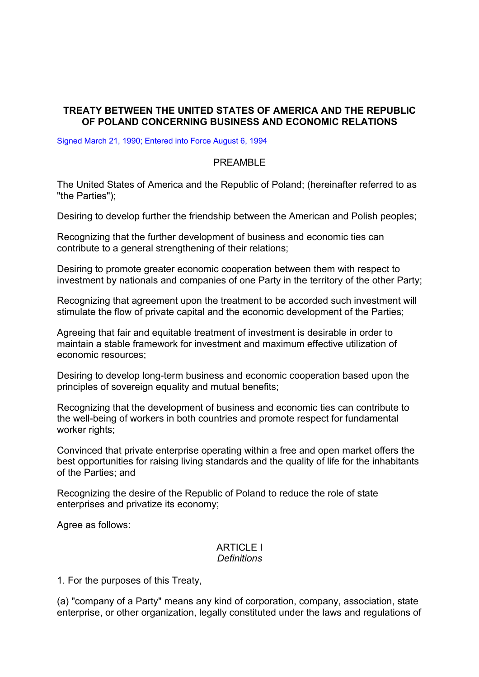## **TREATY BETWEEN THE UNITED STATES OF AMERICA AND THE REPUBLIC OF POLAND CONCERNING BUSINESS AND ECONOMIC RELATIONS**

Signed March 21, 1990; Entered into Force August 6, 1994

#### PREAMBLE

The United States of America and the Republic of Poland; (hereinafter referred to as "the Parties");

Desiring to develop further the friendship between the American and Polish peoples;

Recognizing that the further development of business and economic ties can contribute to a general strengthening of their relations;

Desiring to promote greater economic cooperation between them with respect to investment by nationals and companies of one Party in the territory of the other Party;

Recognizing that agreement upon the treatment to be accorded such investment will stimulate the flow of private capital and the economic development of the Parties;

Agreeing that fair and equitable treatment of investment is desirable in order to maintain a stable framework for investment and maximum effective utilization of economic resources;

Desiring to develop long-term business and economic cooperation based upon the principles of sovereign equality and mutual benefits;

Recognizing that the development of business and economic ties can contribute to the well-being of workers in both countries and promote respect for fundamental worker rights;

Convinced that private enterprise operating within a free and open market offers the best opportunities for raising living standards and the quality of life for the inhabitants of the Parties; and

Recognizing the desire of the Republic of Poland to reduce the role of state enterprises and privatize its economy;

Agree as follows:

#### **ARTICLE I** *Definitions*

1. For the purposes of this Treaty,

(a) "company of a Party" means any kind of corporation, company, association, state enterprise, or other organization, legally constituted under the laws and regulations of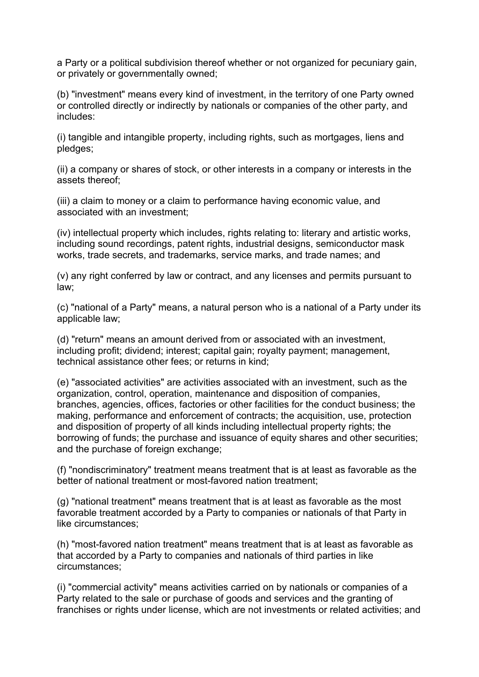a Party or a political subdivision thereof whether or not organized for pecuniary gain, or privately or governmentally owned;

(b) "investment" means every kind of investment, in the territory of one Party owned or controlled directly or indirectly by nationals or companies of the other party, and includes:

(i) tangible and intangible property, including rights, such as mortgages, liens and pledges;

(ii) a company or shares of stock, or other interests in a company or interests in the assets thereof;

(iii) a claim to money or a claim to performance having economic value, and associated with an investment;

(iv) intellectual property which includes, rights relating to: literary and artistic works, including sound recordings, patent rights, industrial designs, semiconductor mask works, trade secrets, and trademarks, service marks, and trade names; and

(v) any right conferred by law or contract, and any licenses and permits pursuant to law;

(c) "national of a Party" means, a natural person who is a national of a Party under its applicable law;

(d) "return" means an amount derived from or associated with an investment, including profit; dividend; interest; capital gain; royalty payment; management, technical assistance other fees; or returns in kind;

(e) "associated activities" are activities associated with an investment, such as the organization, control, operation, maintenance and disposition of companies, branches, agencies, offices, factories or other facilities for the conduct business; the making, performance and enforcement of contracts; the acquisition, use, protection and disposition of property of all kinds including intellectual property rights; the borrowing of funds; the purchase and issuance of equity shares and other securities; and the purchase of foreign exchange;

(f) "nondiscriminatory" treatment means treatment that is at least as favorable as the better of national treatment or most-favored nation treatment;

(g) "national treatment" means treatment that is at least as favorable as the most favorable treatment accorded by a Party to companies or nationals of that Party in like circumstances;

(h) "most-favored nation treatment" means treatment that is at least as favorable as that accorded by a Party to companies and nationals of third parties in like circumstances;

(i) "commercial activity" means activities carried on by nationals or companies of a Party related to the sale or purchase of goods and services and the granting of franchises or rights under license, which are not investments or related activities; and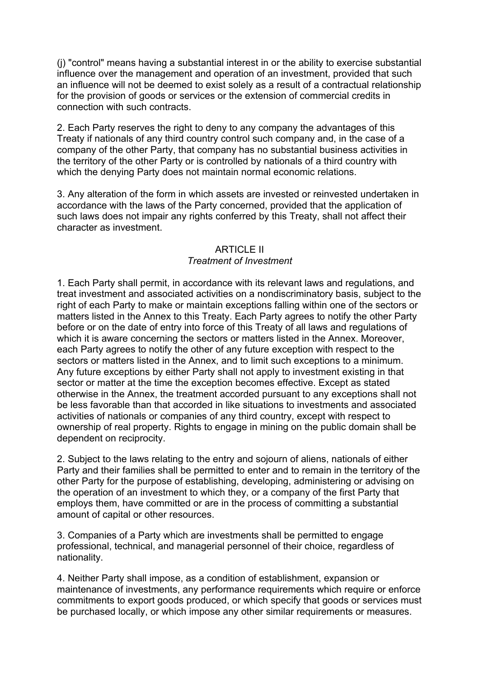(j) "control" means having a substantial interest in or the ability to exercise substantial influence over the management and operation of an investment, provided that such an influence will not be deemed to exist solely as a result of a contractual relationship for the provision of goods or services or the extension of commercial credits in connection with such contracts.

2. Each Party reserves the right to deny to any company the advantages of this Treaty if nationals of any third country control such company and, in the case of a company of the other Party, that company has no substantial business activities in the territory of the other Party or is controlled by nationals of a third country with which the denying Party does not maintain normal economic relations.

3. Any alteration of the form in which assets are invested or reinvested undertaken in accordance with the laws of the Party concerned, provided that the application of such laws does not impair any rights conferred by this Treaty, shall not affect their character as investment.

## ARTICLE II *Treatment of Investment*

1. Each Party shall permit, in accordance with its relevant laws and regulations, and treat investment and associated activities on a nondiscriminatory basis, subject to the right of each Party to make or maintain exceptions falling within one of the sectors or matters listed in the Annex to this Treaty. Each Party agrees to notify the other Party before or on the date of entry into force of this Treaty of all laws and regulations of which it is aware concerning the sectors or matters listed in the Annex. Moreover, each Party agrees to notify the other of any future exception with respect to the sectors or matters listed in the Annex, and to limit such exceptions to a minimum. Any future exceptions by either Party shall not apply to investment existing in that sector or matter at the time the exception becomes effective. Except as stated otherwise in the Annex, the treatment accorded pursuant to any exceptions shall not be less favorable than that accorded in like situations to investments and associated activities of nationals or companies of any third country, except with respect to ownership of real property. Rights to engage in mining on the public domain shall be dependent on reciprocity.

2. Subject to the laws relating to the entry and sojourn of aliens, nationals of either Party and their families shall be permitted to enter and to remain in the territory of the other Party for the purpose of establishing, developing, administering or advising on the operation of an investment to which they, or a company of the first Party that employs them, have committed or are in the process of committing a substantial amount of capital or other resources.

3. Companies of a Party which are investments shall be permitted to engage professional, technical, and managerial personnel of their choice, regardless of nationality.

4. Neither Party shall impose, as a condition of establishment, expansion or maintenance of investments, any performance requirements which require or enforce commitments to export goods produced, or which specify that goods or services must be purchased locally, or which impose any other similar requirements or measures.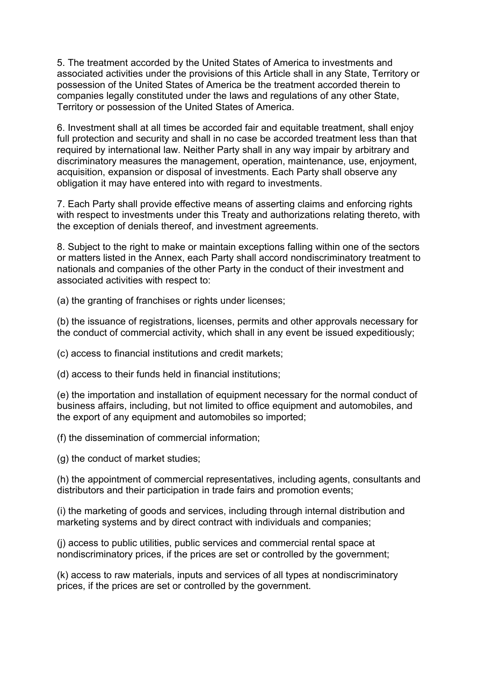5. The treatment accorded by the United States of America to investments and associated activities under the provisions of this Article shall in any State, Territory or possession of the United States of America be the treatment accorded therein to companies legally constituted under the laws and regulations of any other State, Territory or possession of the United States of America.

6. Investment shall at all times be accorded fair and equitable treatment, shall enjoy full protection and security and shall in no case be accorded treatment less than that required by international law. Neither Party shall in any way impair by arbitrary and discriminatory measures the management, operation, maintenance, use, enjoyment, acquisition, expansion or disposal of investments. Each Party shall observe any obligation it may have entered into with regard to investments.

7. Each Party shall provide effective means of asserting claims and enforcing rights with respect to investments under this Treaty and authorizations relating thereto, with the exception of denials thereof, and investment agreements.

8. Subject to the right to make or maintain exceptions falling within one of the sectors or matters listed in the Annex, each Party shall accord nondiscriminatory treatment to nationals and companies of the other Party in the conduct of their investment and associated activities with respect to:

(a) the granting of franchises or rights under licenses;

(b) the issuance of registrations, licenses, permits and other approvals necessary for the conduct of commercial activity, which shall in any event be issued expeditiously;

(c) access to financial institutions and credit markets;

(d) access to their funds held in financial institutions;

(e) the importation and installation of equipment necessary for the normal conduct of business affairs, including, but not limited to office equipment and automobiles, and the export of any equipment and automobiles so imported;

(f) the dissemination of commercial information;

(g) the conduct of market studies;

(h) the appointment of commercial representatives, including agents, consultants and distributors and their participation in trade fairs and promotion events;

(i) the marketing of goods and services, including through internal distribution and marketing systems and by direct contract with individuals and companies;

(j) access to public utilities, public services and commercial rental space at nondiscriminatory prices, if the prices are set or controlled by the government;

(k) access to raw materials, inputs and services of all types at nondiscriminatory prices, if the prices are set or controlled by the government.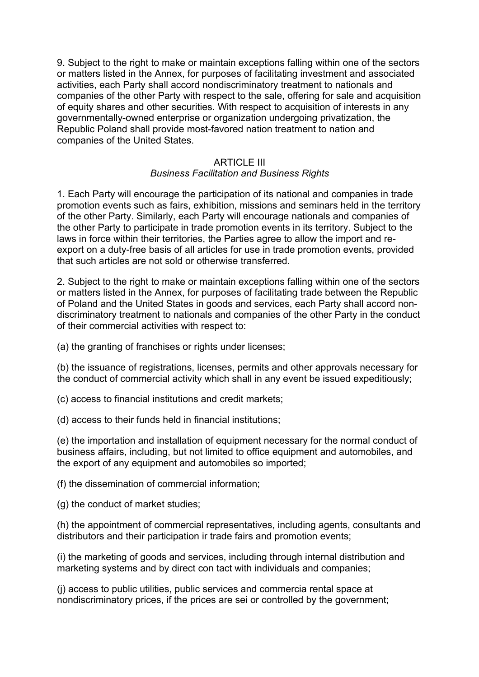9. Subject to the right to make or maintain exceptions falling within one of the sectors or matters listed in the Annex, for purposes of facilitating investment and associated activities, each Party shall accord nondiscriminatory treatment to nationals and companies of the other Party with respect to the sale, offering for sale and acquisition of equity shares and other securities. With respect to acquisition of interests in any governmentally-owned enterprise or organization undergoing privatization, the Republic Poland shall provide most-favored nation treatment to nation and companies of the United States.

## ARTICLE III

## *Business Facilitation and Business Rights*

1. Each Party will encourage the participation of its national and companies in trade promotion events such as fairs, exhibition, missions and seminars held in the territory of the other Party. Similarly, each Party will encourage nationals and companies of the other Party to participate in trade promotion events in its territory. Subject to the laws in force within their territories, the Parties agree to allow the import and reexport on a duty-free basis of all articles for use in trade promotion events, provided that such articles are not sold or otherwise transferred.

2. Subject to the right to make or maintain exceptions falling within one of the sectors or matters listed in the Annex, for purposes of facilitating trade between the Republic of Poland and the United States in goods and services, each Party shall accord nondiscriminatory treatment to nationals and companies of the other Party in the conduct of their commercial activities with respect to:

(a) the granting of franchises or rights under licenses;

(b) the issuance of registrations, licenses, permits and other approvals necessary for the conduct of commercial activity which shall in any event be issued expeditiously;

- (c) access to financial institutions and credit markets;
- (d) access to their funds held in financial institutions;

(e) the importation and installation of equipment necessary for the normal conduct of business affairs, including, but not limited to office equipment and automobiles, and the export of any equipment and automobiles so imported;

(f) the dissemination of commercial information;

(g) the conduct of market studies;

(h) the appointment of commercial representatives, including agents, consultants and distributors and their participation ir trade fairs and promotion events;

(i) the marketing of goods and services, including through internal distribution and marketing systems and by direct con tact with individuals and companies;

(j) access to public utilities, public services and commercia rental space at nondiscriminatory prices, if the prices are sei or controlled by the government;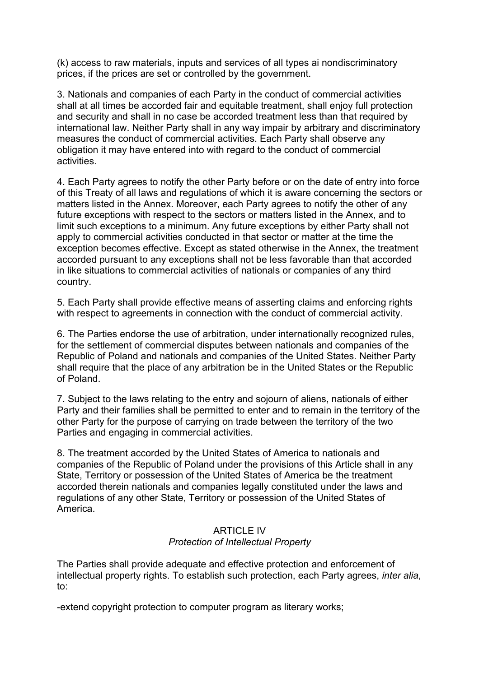(k) access to raw materials, inputs and services of all types ai nondiscriminatory prices, if the prices are set or controlled by the government.

3. Nationals and companies of each Party in the conduct of commercial activities shall at all times be accorded fair and equitable treatment, shall enjoy full protection and security and shall in no case be accorded treatment less than that required by international law. Neither Party shall in any way impair by arbitrary and discriminatory measures the conduct of commercial activities. Each Party shall observe any obligation it may have entered into with regard to the conduct of commercial activities.

4. Each Party agrees to notify the other Party before or on the date of entry into force of this Treaty of all laws and regulations of which it is aware concerning the sectors or matters listed in the Annex. Moreover, each Party agrees to notify the other of any future exceptions with respect to the sectors or matters listed in the Annex, and to limit such exceptions to a minimum. Any future exceptions by either Party shall not apply to commercial activities conducted in that sector or matter at the time the exception becomes effective. Except as stated otherwise in the Annex, the treatment accorded pursuant to any exceptions shall not be less favorable than that accorded in like situations to commercial activities of nationals or companies of any third country.

5. Each Party shall provide effective means of asserting claims and enforcing rights with respect to agreements in connection with the conduct of commercial activity.

6. The Parties endorse the use of arbitration, under internationally recognized rules, for the settlement of commercial disputes between nationals and companies of the Republic of Poland and nationals and companies of the United States. Neither Party shall require that the place of any arbitration be in the United States or the Republic of Poland.

7. Subject to the laws relating to the entry and sojourn of aliens, nationals of either Party and their families shall be permitted to enter and to remain in the territory of the other Party for the purpose of carrying on trade between the territory of the two Parties and engaging in commercial activities.

8. The treatment accorded by the United States of America to nationals and companies of the Republic of Poland under the provisions of this Article shall in any State, Territory or possession of the United States of America be the treatment accorded therein nationals and companies legally constituted under the laws and regulations of any other State, Territory or possession of the United States of America.

## ARTICLE IV *Protection of Intellectual Property*

The Parties shall provide adequate and effective protection and enforcement of intellectual property rights. To establish such protection, each Party agrees, *inter alia*, to:

-extend copyright protection to computer program as literary works;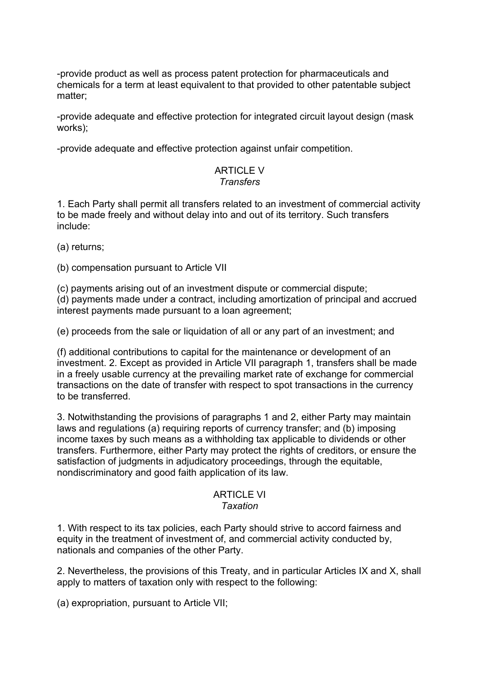-provide product as well as process patent protection for pharmaceuticals and chemicals for a term at least equivalent to that provided to other patentable subject matter;

-provide adequate and effective protection for integrated circuit layout design (mask works);

-provide adequate and effective protection against unfair competition.

## ARTICLE V *Transfers*

1. Each Party shall permit all transfers related to an investment of commercial activity to be made freely and without delay into and out of its territory. Such transfers include:

(a) returns;

(b) compensation pursuant to Article VII

(c) payments arising out of an investment dispute or commercial dispute;

(d) payments made under a contract, including amortization of principal and accrued interest payments made pursuant to a loan agreement;

(e) proceeds from the sale or liquidation of all or any part of an investment; and

(f) additional contributions to capital for the maintenance or development of an investment. 2. Except as provided in Article VII paragraph 1, transfers shall be made in a freely usable currency at the prevailing market rate of exchange for commercial transactions on the date of transfer with respect to spot transactions in the currency to be transferred.

3. Notwithstanding the provisions of paragraphs 1 and 2, either Party may maintain laws and regulations (a) requiring reports of currency transfer; and (b) imposing income taxes by such means as a withholding tax applicable to dividends or other transfers. Furthermore, either Party may protect the rights of creditors, or ensure the satisfaction of judgments in adjudicatory proceedings, through the equitable, nondiscriminatory and good faith application of its law.

#### ARTICI F VI *Taxation*

1. With respect to its tax policies, each Party should strive to accord fairness and equity in the treatment of investment of, and commercial activity conducted by, nationals and companies of the other Party.

2. Nevertheless, the provisions of this Treaty, and in particular Articles IX and X, shall apply to matters of taxation only with respect to the following:

(a) expropriation, pursuant to Article VII;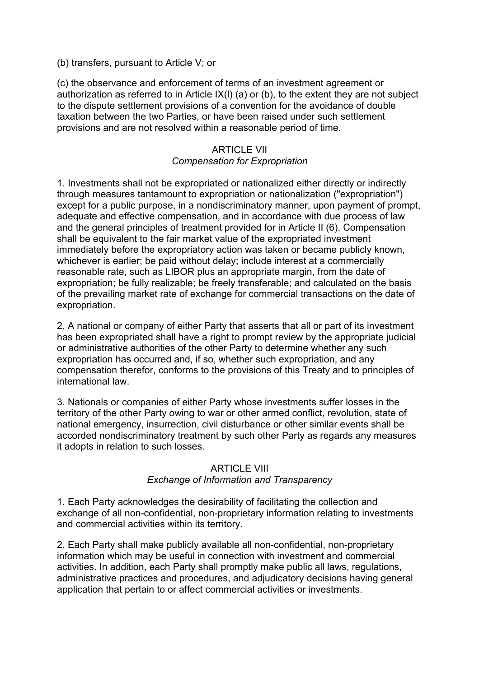(b) transfers, pursuant to Article V; or

(c) the observance and enforcement of terms of an investment agreement or authorization as referred to in Article IX(l) (a) or (b), to the extent they are not subject to the dispute settlement provisions of a convention for the avoidance of double taxation between the two Parties, or have been raised under such settlement provisions and are not resolved within a reasonable period of time.

## ARTICLE VII *Compensation for Expropriation*

1. Investments shall not be expropriated or nationalized either directly or indirectly through measures tantamount to expropriation or nationalization ("expropriation") except for a public purpose, in a nondiscriminatory manner, upon payment of prompt, adequate and effective compensation, and in accordance with due process of law and the general principles of treatment provided for in Article II (6). Compensation shall be equivalent to the fair market value of the expropriated investment immediately before the expropriatory action was taken or became publicly known, whichever is earlier; be paid without delay; include interest at a commercially reasonable rate, such as LIBOR plus an appropriate margin, from the date of expropriation; be fully realizable; be freely transferable; and calculated on the basis of the prevailing market rate of exchange for commercial transactions on the date of expropriation.

2. A national or company of either Party that asserts that all or part of its investment has been expropriated shall have a right to prompt review by the appropriate judicial or administrative authorities of the other Party to determine whether any such expropriation has occurred and, if so, whether such expropriation, and any compensation therefor, conforms to the provisions of this Treaty and to principles of international law.

3. Nationals or companies of either Party whose investments suffer losses in the territory of the other Party owing to war or other armed conflict, revolution, state of national emergency, insurrection, civil disturbance or other similar events shall be accorded nondiscriminatory treatment by such other Party as regards any measures it adopts in relation to such losses.

## ARTICLE VIII

## *Exchange of Information and Transparency*

1. Each Party acknowledges the desirability of facilitating the collection and exchange of all non-confidential, non-proprietary information relating to investments and commercial activities within its territory.

2. Each Party shall make publicly available all non-confidential, non-proprietary information which may be useful in connection with investment and commercial activities. In addition, each Party shall promptly make public all laws, regulations, administrative practices and procedures, and adjudicatory decisions having general application that pertain to or affect commercial activities or investments.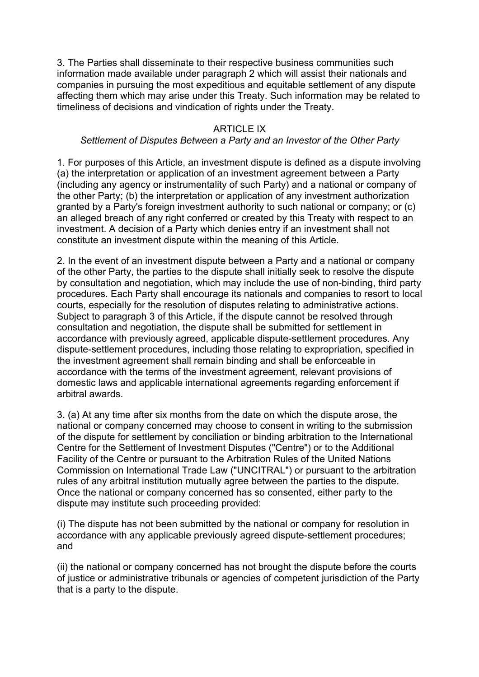3. The Parties shall disseminate to their respective business communities such information made available under paragraph 2 which will assist their nationals and companies in pursuing the most expeditious and equitable settlement of any dispute affecting them which may arise under this Treaty. Such information may be related to timeliness of decisions and vindication of rights under the Treaty.

## ARTICLE IX

### *Settlement of Disputes Between a Party and an Investor of the Other Party*

1. For purposes of this Article, an investment dispute is defined as a dispute involving (a) the interpretation or application of an investment agreement between a Party (including any agency or instrumentality of such Party) and a national or company of the other Party; (b) the interpretation or application of any investment authorization granted by a Party's foreign investment authority to such national or company; or (c) an alleged breach of any right conferred or created by this Treaty with respect to an investment. A decision of a Party which denies entry if an investment shall not constitute an investment dispute within the meaning of this Article.

2. In the event of an investment dispute between a Party and a national or company of the other Party, the parties to the dispute shall initially seek to resolve the dispute by consultation and negotiation, which may include the use of non-binding, third party procedures. Each Party shall encourage its nationals and companies to resort to local courts, especially for the resolution of disputes relating to administrative actions. Subject to paragraph 3 of this Article, if the dispute cannot be resolved through consultation and negotiation, the dispute shall be submitted for settlement in accordance with previously agreed, applicable dispute-settlement procedures. Any dispute-settlement procedures, including those relating to expropriation, specified in the investment agreement shall remain binding and shall be enforceable in accordance with the terms of the investment agreement, relevant provisions of domestic laws and applicable international agreements regarding enforcement if arbitral awards.

3. (a) At any time after six months from the date on which the dispute arose, the national or company concerned may choose to consent in writing to the submission of the dispute for settlement by conciliation or binding arbitration to the International Centre for the Settlement of Investment Disputes ("Centre") or to the Additional Facility of the Centre or pursuant to the Arbitration Rules of the United Nations Commission on International Trade Law ("UNCITRAL") or pursuant to the arbitration rules of any arbitral institution mutually agree between the parties to the dispute. Once the national or company concerned has so consented, either party to the dispute may institute such proceeding provided:

(i) The dispute has not been submitted by the national or company for resolution in accordance with any applicable previously agreed dispute-settlement procedures; and

(ii) the national or company concerned has not brought the dispute before the courts of justice or administrative tribunals or agencies of competent jurisdiction of the Party that is a party to the dispute.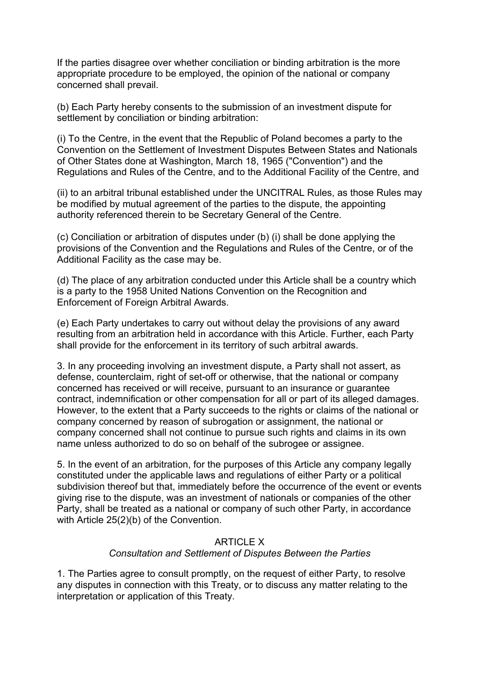If the parties disagree over whether conciliation or binding arbitration is the more appropriate procedure to be employed, the opinion of the national or company concerned shall prevail.

(b) Each Party hereby consents to the submission of an investment dispute for settlement by conciliation or binding arbitration:

(i) To the Centre, in the event that the Republic of Poland becomes a party to the Convention on the Settlement of Investment Disputes Between States and Nationals of Other States done at Washington, March 18, 1965 ("Convention") and the Regulations and Rules of the Centre, and to the Additional Facility of the Centre, and

(ii) to an arbitral tribunal established under the UNCITRAL Rules, as those Rules may be modified by mutual agreement of the parties to the dispute, the appointing authority referenced therein to be Secretary General of the Centre.

(c) Conciliation or arbitration of disputes under (b) (i) shall be done applying the provisions of the Convention and the Regulations and Rules of the Centre, or of the Additional Facility as the case may be.

(d) The place of any arbitration conducted under this Article shall be a country which is a party to the 1958 United Nations Convention on the Recognition and Enforcement of Foreign Arbitral Awards.

(e) Each Party undertakes to carry out without delay the provisions of any award resulting from an arbitration held in accordance with this Article. Further, each Party shall provide for the enforcement in its territory of such arbitral awards.

3. In any proceeding involving an investment dispute, a Party shall not assert, as defense, counterclaim, right of set-off or otherwise, that the national or company concerned has received or will receive, pursuant to an insurance or guarantee contract, indemnification or other compensation for all or part of its alleged damages. However, to the extent that a Party succeeds to the rights or claims of the national or company concerned by reason of subrogation or assignment, the national or company concerned shall not continue to pursue such rights and claims in its own name unless authorized to do so on behalf of the subrogee or assignee.

5. In the event of an arbitration, for the purposes of this Article any company legally constituted under the applicable laws and regulations of either Party or a political subdivision thereof but that, immediately before the occurrence of the event or events giving rise to the dispute, was an investment of nationals or companies of the other Party, shall be treated as a national or company of such other Party, in accordance with Article 25(2)(b) of the Convention.

## ARTICLE X *Consultation and Settlement of Disputes Between the Parties*

1. The Parties agree to consult promptly, on the request of either Party, to resolve any disputes in connection with this Treaty, or to discuss any matter relating to the interpretation or application of this Treaty.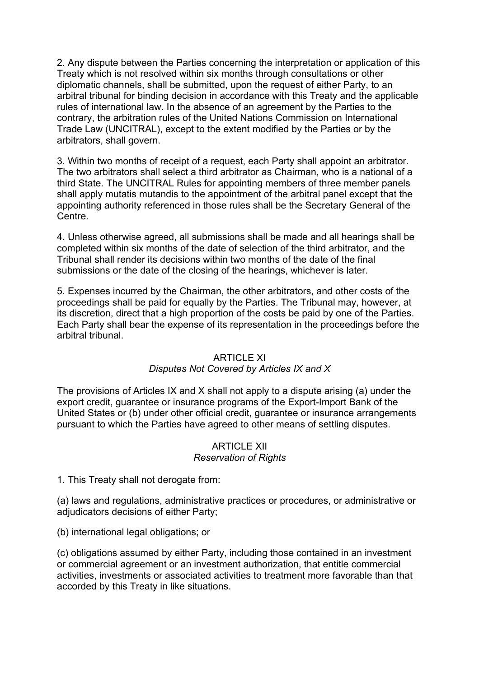2. Any dispute between the Parties concerning the interpretation or application of this Treaty which is not resolved within six months through consultations or other diplomatic channels, shall be submitted, upon the request of either Party, to an arbitral tribunal for binding decision in accordance with this Treaty and the applicable rules of international law. In the absence of an agreement by the Parties to the contrary, the arbitration rules of the United Nations Commission on International Trade Law (UNCITRAL), except to the extent modified by the Parties or by the arbitrators, shall govern.

3. Within two months of receipt of a request, each Party shall appoint an arbitrator. The two arbitrators shall select a third arbitrator as Chairman, who is a national of a third State. The UNCITRAL Rules for appointing members of three member panels shall apply mutatis mutandis to the appointment of the arbitral panel except that the appointing authority referenced in those rules shall be the Secretary General of the Centre.

4. Unless otherwise agreed, all submissions shall be made and all hearings shall be completed within six months of the date of selection of the third arbitrator, and the Tribunal shall render its decisions within two months of the date of the final submissions or the date of the closing of the hearings, whichever is later.

5. Expenses incurred by the Chairman, the other arbitrators, and other costs of the proceedings shall be paid for equally by the Parties. The Tribunal may, however, at its discretion, direct that a high proportion of the costs be paid by one of the Parties. Each Party shall bear the expense of its representation in the proceedings before the arbitral tribunal.

#### **ARTICLE XI**

## *Disputes Not Covered by Articles IX and X*

The provisions of Articles IX and X shall not apply to a dispute arising (a) under the export credit, guarantee or insurance programs of the Export-Import Bank of the United States or (b) under other official credit, guarantee or insurance arrangements pursuant to which the Parties have agreed to other means of settling disputes.

#### ARTICLE XII *Reservation of Rights*

1. This Treaty shall not derogate from:

(a) laws and regulations, administrative practices or procedures, or administrative or adjudicators decisions of either Party;

(b) international legal obligations; or

(c) obligations assumed by either Party, including those contained in an investment or commercial agreement or an investment authorization, that entitle commercial activities, investments or associated activities to treatment more favorable than that accorded by this Treaty in like situations.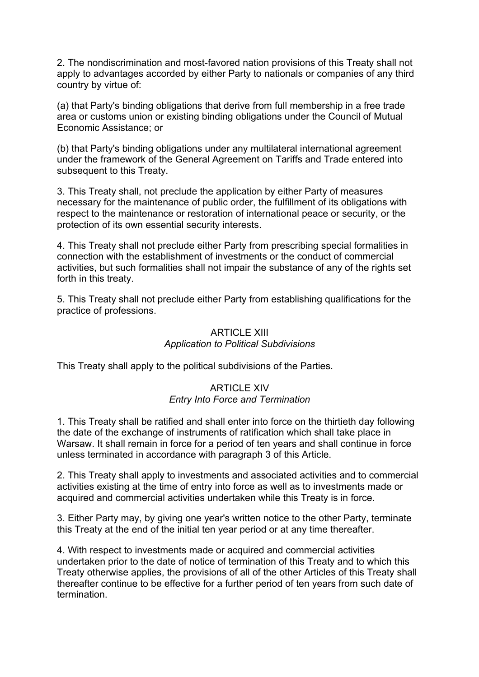2. The nondiscrimination and most-favored nation provisions of this Treaty shall not apply to advantages accorded by either Party to nationals or companies of any third country by virtue of:

(a) that Party's binding obligations that derive from full membership in a free trade area or customs union or existing binding obligations under the Council of Mutual Economic Assistance; or

(b) that Party's binding obligations under any multilateral international agreement under the framework of the General Agreement on Tariffs and Trade entered into subsequent to this Treaty.

3. This Treaty shall, not preclude the application by either Party of measures necessary for the maintenance of public order, the fulfillment of its obligations with respect to the maintenance or restoration of international peace or security, or the protection of its own essential security interests.

4. This Treaty shall not preclude either Party from prescribing special formalities in connection with the establishment of investments or the conduct of commercial activities, but such formalities shall not impair the substance of any of the rights set forth in this treaty.

5. This Treaty shall not preclude either Party from establishing qualifications for the practice of professions.

# ARTICLE XIII *Application to Political Subdivisions*

This Treaty shall apply to the political subdivisions of the Parties.

## ARTICLE XIV *Entry Into Force and Termination*

1. This Treaty shall be ratified and shall enter into force on the thirtieth day following the date of the exchange of instruments of ratification which shall take place in Warsaw. It shall remain in force for a period of ten years and shall continue in force unless terminated in accordance with paragraph 3 of this Article.

2. This Treaty shall apply to investments and associated activities and to commercial activities existing at the time of entry into force as well as to investments made or acquired and commercial activities undertaken while this Treaty is in force.

3. Either Party may, by giving one year's written notice to the other Party, terminate this Treaty at the end of the initial ten year period or at any time thereafter.

4. With respect to investments made or acquired and commercial activities undertaken prior to the date of notice of termination of this Treaty and to which this Treaty otherwise applies, the provisions of all of the other Articles of this Treaty shall thereafter continue to be effective for a further period of ten years from such date of termination.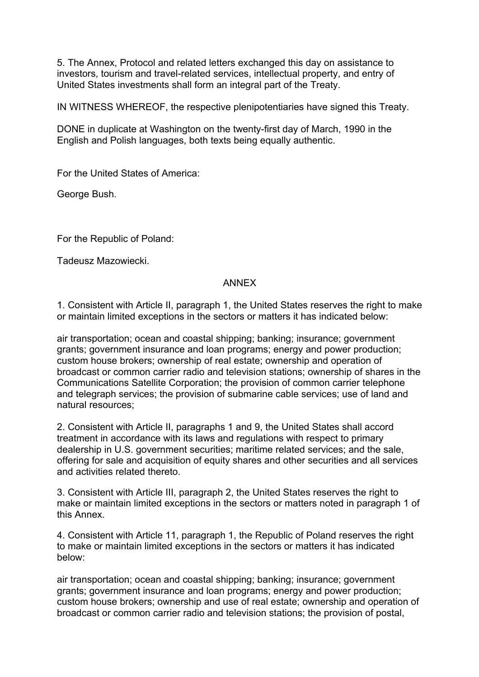5. The Annex, Protocol and related letters exchanged this day on assistance to investors, tourism and travel-related services, intellectual property, and entry of United States investments shall form an integral part of the Treaty.

IN WITNESS WHEREOF, the respective plenipotentiaries have signed this Treaty.

DONE in duplicate at Washington on the twenty-first day of March, 1990 in the English and Polish languages, both texts being equally authentic.

For the United States of America:

George Bush.

For the Republic of Poland:

Tadeusz Mazowiecki.

## ANNEX

1. Consistent with Article II, paragraph 1, the United States reserves the right to make or maintain limited exceptions in the sectors or matters it has indicated below:

air transportation; ocean and coastal shipping; banking; insurance; government grants; government insurance and loan programs; energy and power production; custom house brokers; ownership of real estate; ownership and operation of broadcast or common carrier radio and television stations; ownership of shares in the Communications Satellite Corporation; the provision of common carrier telephone and telegraph services; the provision of submarine cable services; use of land and natural resources;

2. Consistent with Article II, paragraphs 1 and 9, the United States shall accord treatment in accordance with its laws and regulations with respect to primary dealership in U.S. government securities; maritime related services; and the sale, offering for sale and acquisition of equity shares and other securities and all services and activities related thereto.

3. Consistent with Article III, paragraph 2, the United States reserves the right to make or maintain limited exceptions in the sectors or matters noted in paragraph 1 of this Annex.

4. Consistent with Article 11, paragraph 1, the Republic of Poland reserves the right to make or maintain limited exceptions in the sectors or matters it has indicated below:

air transportation; ocean and coastal shipping; banking; insurance; government grants; government insurance and loan programs; energy and power production; custom house brokers; ownership and use of real estate; ownership and operation of broadcast or common carrier radio and television stations; the provision of postal,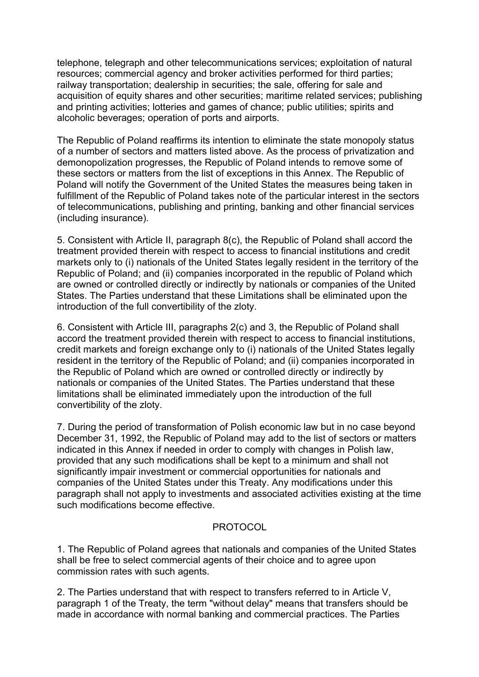telephone, telegraph and other telecommunications services; exploitation of natural resources; commercial agency and broker activities performed for third parties; railway transportation; dealership in securities; the sale, offering for sale and acquisition of equity shares and other securities; maritime related services; publishing and printing activities; lotteries and games of chance; public utilities; spirits and alcoholic beverages; operation of ports and airports.

The Republic of Poland reaffirms its intention to eliminate the state monopoly status of a number of sectors and matters listed above. As the process of privatization and demonopolization progresses, the Republic of Poland intends to remove some of these sectors or matters from the list of exceptions in this Annex. The Republic of Poland will notify the Government of the United States the measures being taken in fulfillment of the Republic of Poland takes note of the particular interest in the sectors of telecommunications, publishing and printing, banking and other financial services (including insurance).

5. Consistent with Article II, paragraph 8(c), the Republic of Poland shall accord the treatment provided therein with respect to access to financial institutions and credit markets only to (i) nationals of the United States legally resident in the territory of the Republic of Poland; and (ii) companies incorporated in the republic of Poland which are owned or controlled directly or indirectly by nationals or companies of the United States. The Parties understand that these Limitations shall be eliminated upon the introduction of the full convertibility of the zloty.

6. Consistent with Article III, paragraphs 2(c) and 3, the Republic of Poland shall accord the treatment provided therein with respect to access to financial institutions, credit markets and foreign exchange only to (i) nationals of the United States legally resident in the territory of the Republic of Poland; and (ii) companies incorporated in the Republic of Poland which are owned or controlled directly or indirectly by nationals or companies of the United States. The Parties understand that these limitations shall be eliminated immediately upon the introduction of the full convertibility of the zloty.

7. During the period of transformation of Polish economic law but in no case beyond December 31, 1992, the Republic of Poland may add to the list of sectors or matters indicated in this Annex if needed in order to comply with changes in Polish law, provided that any such modifications shall be kept to a minimum and shall not significantly impair investment or commercial opportunities for nationals and companies of the United States under this Treaty. Any modifications under this paragraph shall not apply to investments and associated activities existing at the time such modifications become effective.

# **PROTOCOL**

1. The Republic of Poland agrees that nationals and companies of the United States shall be free to select commercial agents of their choice and to agree upon commission rates with such agents.

2. The Parties understand that with respect to transfers referred to in Article V, paragraph 1 of the Treaty, the term "without delay" means that transfers should be made in accordance with normal banking and commercial practices. The Parties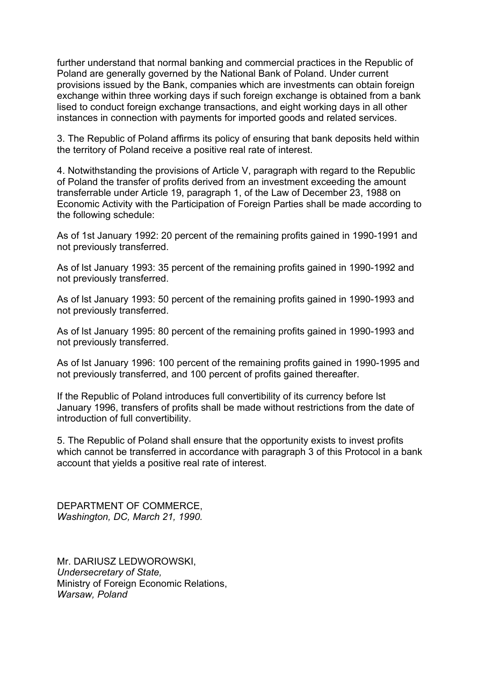further understand that normal banking and commercial practices in the Republic of Poland are generally governed by the National Bank of Poland. Under current provisions issued by the Bank, companies which are investments can obtain foreign exchange within three working days if such foreign exchange is obtained from a bank lised to conduct foreign exchange transactions, and eight working days in all other instances in connection with payments for imported goods and related services.

3. The Republic of Poland affirms its policy of ensuring that bank deposits held within the territory of Poland receive a positive real rate of interest.

4. Notwithstanding the provisions of Article V, paragraph with regard to the Republic of Poland the transfer of profits derived from an investment exceeding the amount transferrable under Article 19, paragraph 1, of the Law of December 23, 1988 on Economic Activity with the Participation of Foreign Parties shall be made according to the following schedule:

As of 1st January 1992: 20 percent of the remaining profits gained in 1990-1991 and not previously transferred.

As of lst January 1993: 35 percent of the remaining profits gained in 1990-1992 and not previously transferred.

As of lst January 1993: 50 percent of the remaining profits gained in 1990-1993 and not previously transferred.

As of lst January 1995: 80 percent of the remaining profits gained in 1990-1993 and not previously transferred.

As of lst January 1996: 100 percent of the remaining profits gained in 1990-1995 and not previously transferred, and 100 percent of profits gained thereafter.

If the Republic of Poland introduces full convertibility of its currency before lst January 1996, transfers of profits shall be made without restrictions from the date of introduction of full convertibility.

5. The Republic of Poland shall ensure that the opportunity exists to invest profits which cannot be transferred in accordance with paragraph 3 of this Protocol in a bank account that yields a positive real rate of interest.

DEPARTMENT OF COMMERCE, *Washington, DC, March 21, 1990.* 

Mr. DARIUSZ LEDWOROWSKI, *Undersecretary of State,* Ministry of Foreign Economic Relations, *Warsaw, Poland*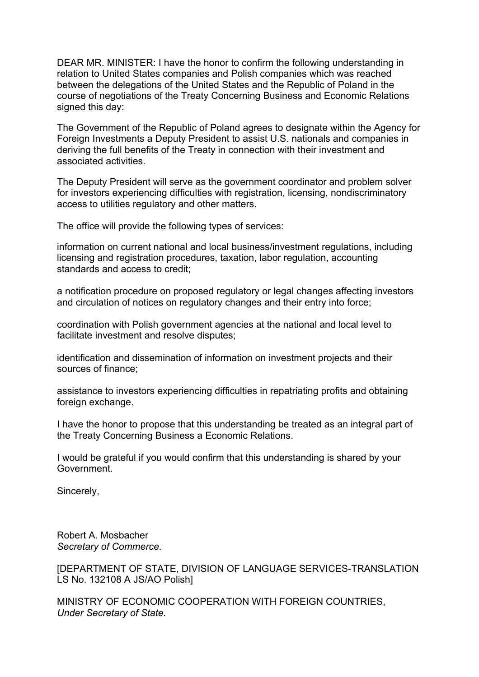DEAR MR. MINISTER: I have the honor to confirm the following understanding in relation to United States companies and Polish companies which was reached between the delegations of the United States and the Republic of Poland in the course of negotiations of the Treaty Concerning Business and Economic Relations signed this day:

The Government of the Republic of Poland agrees to designate within the Agency for Foreign Investments a Deputy President to assist U.S. nationals and companies in deriving the full benefits of the Treaty in connection with their investment and associated activities.

The Deputy President will serve as the government coordinator and problem solver for investors experiencing difficulties with registration, licensing, nondiscriminatory access to utilities regulatory and other matters.

The office will provide the following types of services:

information on current national and local business/investment regulations, including licensing and registration procedures, taxation, labor regulation, accounting standards and access to credit;

a notification procedure on proposed regulatory or legal changes affecting investors and circulation of notices on regulatory changes and their entry into force;

coordination with Polish government agencies at the national and local level to facilitate investment and resolve disputes;

identification and dissemination of information on investment projects and their sources of finance;

assistance to investors experiencing difficulties in repatriating profits and obtaining foreign exchange.

I have the honor to propose that this understanding be treated as an integral part of the Treaty Concerning Business a Economic Relations.

I would be grateful if you would confirm that this understanding is shared by your Government.

Sincerely,

Robert A. Mosbacher *Secretary of Commerce.* 

[DEPARTMENT OF STATE, DIVISION OF LANGUAGE SERVICES-TRANSLATION LS No. 132108 A JS/AO Polish]

MINISTRY OF ECONOMIC COOPERATION WITH FOREIGN COUNTRIES, *Under Secretary of State.*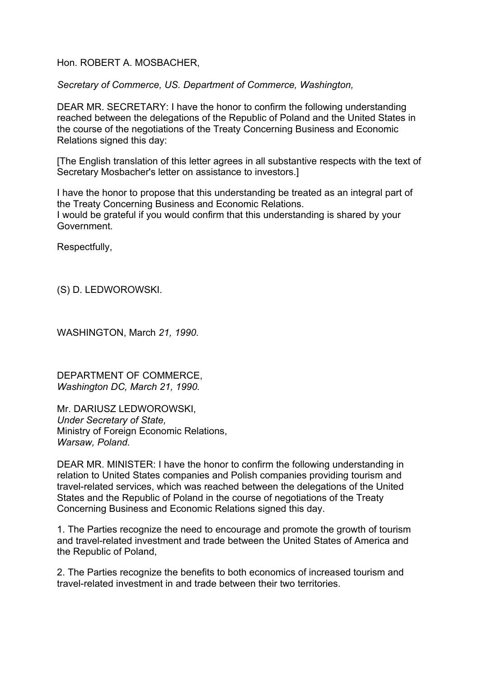## Hon. ROBERT A. MOSBACHER,

*Secretary of Commerce, US. Department of Commerce, Washington,* 

DEAR MR. SECRETARY: I have the honor to confirm the following understanding reached between the delegations of the Republic of Poland and the United States in the course of the negotiations of the Treaty Concerning Business and Economic Relations signed this day:

[The English translation of this letter agrees in all substantive respects with the text of Secretary Mosbacher's letter on assistance to investors.]

I have the honor to propose that this understanding be treated as an integral part of the Treaty Concerning Business and Economic Relations. I would be grateful if you would confirm that this understanding is shared by your Government.

Respectfully,

(S) D. LEDWOROWSKI.

WASHINGTON, March *21, 1990.* 

DEPARTMENT OF COMMERCE, *Washington DC, March 21, 1990.* 

Mr. DARIUSZ LEDWOROWSKI, *Under Secretary of State,* Ministry of Foreign Economic Relations, *Warsaw, Poland.* 

DEAR MR. MINISTER: I have the honor to confirm the following understanding in relation to United States companies and Polish companies providing tourism and travel-related services, which was reached between the delegations of the United States and the Republic of Poland in the course of negotiations of the Treaty Concerning Business and Economic Relations signed this day.

1. The Parties recognize the need to encourage and promote the growth of tourism and travel-related investment and trade between the United States of America and the Republic of Poland,

2. The Parties recognize the benefits to both economics of increased tourism and travel-related investment in and trade between their two territories.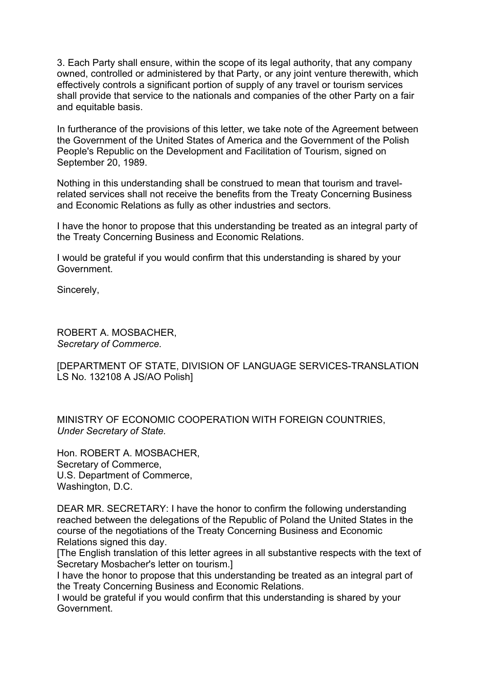3. Each Party shall ensure, within the scope of its legal authority, that any company owned, controlled or administered by that Party, or any joint venture therewith, which effectively controls a significant portion of supply of any travel or tourism services shall provide that service to the nationals and companies of the other Party on a fair and equitable basis.

In furtherance of the provisions of this letter, we take note of the Agreement between the Government of the United States of America and the Government of the Polish People's Republic on the Development and Facilitation of Tourism, signed on September 20, 1989.

Nothing in this understanding shall be construed to mean that tourism and travelrelated services shall not receive the benefits from the Treaty Concerning Business and Economic Relations as fully as other industries and sectors.

I have the honor to propose that this understanding be treated as an integral party of the Treaty Concerning Business and Economic Relations.

I would be grateful if you would confirm that this understanding is shared by your Government.

Sincerely,

ROBERT A. MOSBACHER, *Secretary of Commerce.* 

[DEPARTMENT OF STATE, DIVISION OF LANGUAGE SERVICES-TRANSLATION LS No. 132108 A JS/AO Polish]

MINISTRY OF ECONOMIC COOPERATION WITH FOREIGN COUNTRIES, *Under Secretary of State.* 

Hon. ROBERT A. MOSBACHER, Secretary of Commerce, U.S. Department of Commerce, Washington, D.C.

DEAR MR. SECRETARY: I have the honor to confirm the following understanding reached between the delegations of the Republic of Poland the United States in the course of the negotiations of the Treaty Concerning Business and Economic Relations signed this day.

[The English translation of this letter agrees in all substantive respects with the text of Secretary Mosbacher's letter on tourism.]

I have the honor to propose that this understanding be treated as an integral part of the Treaty Concerning Business and Economic Relations.

I would be grateful if you would confirm that this understanding is shared by your Government.